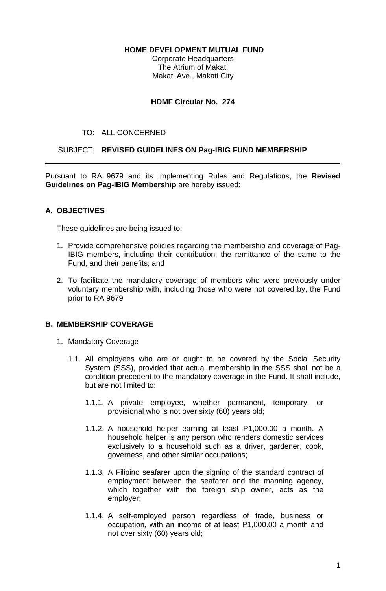#### **HOME DEVELOPMENT MUTUAL FUND**

Corporate Headquarters The Atrium of Makati Makati Ave., Makati City

## **HDMF Circular No. 274**

## TO: ALL CONCERNED

## SUBJECT: **REVISED GUIDELINES ON Pag-IBIG FUND MEMBERSHIP**

Pursuant to RA 9679 and its Implementing Rules and Regulations, the **Revised Guidelines on Pag-IBIG Membership** are hereby issued:

# **A. OBJECTIVES**

These guidelines are being issued to:

- 1. Provide comprehensive policies regarding the membership and coverage of Pag-IBIG members, including their contribution, the remittance of the same to the Fund, and their benefits; and
- 2. To facilitate the mandatory coverage of members who were previously under voluntary membership with, including those who were not covered by, the Fund prior to RA 9679

# **B. MEMBERSHIP COVERAGE**

- 1. Mandatory Coverage
	- 1.1. All employees who are or ought to be covered by the Social Security System (SSS), provided that actual membership in the SSS shall not be a condition precedent to the mandatory coverage in the Fund. It shall include, but are not limited to:
		- 1.1.1. A private employee, whether permanent, temporary, or provisional who is not over sixty (60) years old;
		- 1.1.2. A household helper earning at least P1,000.00 a month. A household helper is any person who renders domestic services exclusively to a household such as a driver, gardener, cook, governess, and other similar occupations;
		- 1.1.3. A Filipino seafarer upon the signing of the standard contract of employment between the seafarer and the manning agency, which together with the foreign ship owner, acts as the employer;
		- 1.1.4. A self-employed person regardless of trade, business or occupation, with an income of at least P1,000.00 a month and not over sixty (60) years old;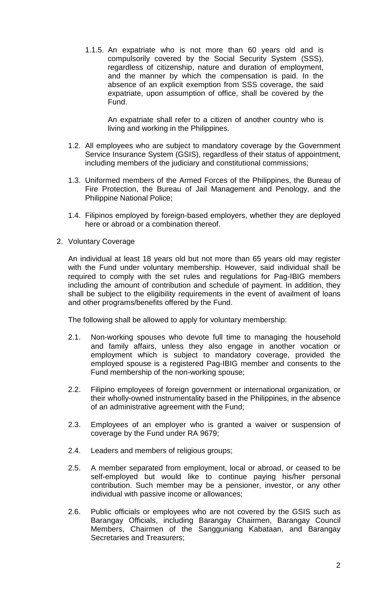1.1.5. An expatriate who is not more than 60 years old and is compulsorily covered by the Social Security System (SSS), regardless of citizenship, nature and duration of employment, and the manner by which the compensation is paid. In the absence of an explicit exemption from SSS coverage, the said expatriate, upon assumption of office, shall be covered by the Fund.

 An expatriate shall refer to a citizen of another country who is living and working in the Philippines.

- 1.2. All employees who are subject to mandatory coverage by the Government Service Insurance System (GSIS), regardless of their status of appointment, including members of the judiciary and constitutional commissions;
- 1.3. Uniformed members of the Armed Forces of the Philippines, the Bureau of Fire Protection, the Bureau of Jail Management and Penology, and the Philippine National Police;
- 1.4. Filipinos employed by foreign-based employers, whether they are deployed here or abroad or a combination thereof.
- 2. Voluntary Coverage

An individual at least 18 years old but not more than 65 years old may register with the Fund under voluntary membership. However, said individual shall be required to comply with the set rules and regulations for Pag-IBIG members including the amount of contribution and schedule of payment. In addition, they shall be subject to the eligibility requirements in the event of availment of loans and other programs/benefits offered by the Fund.

The following shall be allowed to apply for voluntary membership:

- 2.1. Non-working spouses who devote full time to managing the household and family affairs, unless they also engage in another vocation or employment which is subject to mandatory coverage, provided the employed spouse is a registered Pag-IBIG member and consents to the Fund membership of the non-working spouse;
- 2.2. Filipino employees of foreign government or international organization, or their wholly-owned instrumentality based in the Philippines, in the absence of an administrative agreement with the Fund;
- 2.3. Employees of an employer who is granted a waiver or suspension of coverage by the Fund under RA 9679;
- 2.4. Leaders and members of religious groups;
- 2.5. A member separated from employment, local or abroad, or ceased to be self-employed but would like to continue paying his/her personal contribution. Such member may be a pensioner, investor, or any other individual with passive income or allowances;
- 2.6. Public officials or employees who are not covered by the GSIS such as Barangay Officials, including Barangay Chairmen, Barangay Council Members, Chairmen of the Sangguniang Kabataan, and Barangay Secretaries and Treasurers;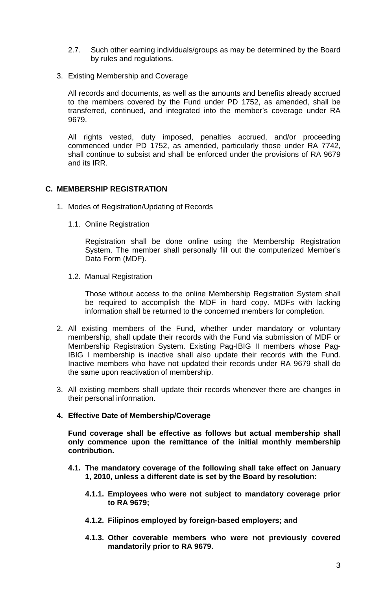- 2.7. Such other earning individuals/groups as may be determined by the Board by rules and regulations.
- 3. Existing Membership and Coverage

All records and documents, as well as the amounts and benefits already accrued to the members covered by the Fund under PD 1752, as amended, shall be transferred, continued, and integrated into the member's coverage under RA 9679.

All rights vested, duty imposed, penalties accrued, and/or proceeding commenced under PD 1752, as amended, particularly those under RA 7742, shall continue to subsist and shall be enforced under the provisions of RA 9679 and its IRR.

## **C. MEMBERSHIP REGISTRATION**

- 1. Modes of Registration/Updating of Records
	- 1.1. Online Registration

Registration shall be done online using the Membership Registration System. The member shall personally fill out the computerized Member's Data Form (MDF).

1.2. Manual Registration

Those without access to the online Membership Registration System shall be required to accomplish the MDF in hard copy. MDFs with lacking information shall be returned to the concerned members for completion.

- 2. All existing members of the Fund, whether under mandatory or voluntary membership, shall update their records with the Fund via submission of MDF or Membership Registration System. Existing Pag-IBIG II members whose Pag-IBIG I membership is inactive shall also update their records with the Fund. Inactive members who have not updated their records under RA 9679 shall do the same upon reactivation of membership.
- 3. All existing members shall update their records whenever there are changes in their personal information.

# **4. Effective Date of Membership/Coverage**

**Fund coverage shall be effective as follows but actual membership shall only commence upon the remittance of the initial monthly membership contribution.** 

- **4.1. The mandatory coverage of the following shall take effect on January 1, 2010, unless a different date is set by the Board by resolution:** 
	- **4.1.1. Employees who were not subject to mandatory coverage prior to RA 9679;**
	- **4.1.2. Filipinos employed by foreign-based employers; and**
	- **4.1.3. Other coverable members who were not previously covered mandatorily prior to RA 9679.**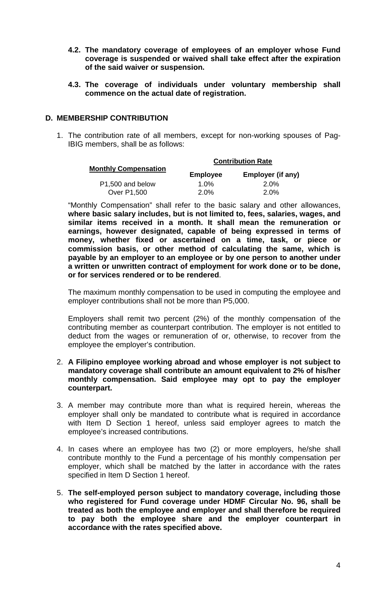- **4.2. The mandatory coverage of employees of an employer whose Fund coverage is suspended or waived shall take effect after the expiration of the said waiver or suspension.**
- **4.3. The coverage of individuals under voluntary membership shall commence on the actual date of registration.**

## **D. MEMBERSHIP CONTRIBUTION**

1. The contribution rate of all members, except for non-working spouses of Pag-IBIG members, shall be as follows:

| <b>Monthly Compensation</b> | <b>Contribution Rate</b> |                   |
|-----------------------------|--------------------------|-------------------|
|                             | <b>Employee</b>          | Employer (if any) |
| P1,500 and below            | $1.0\%$                  | 2.0%              |
| <b>Over P1,500</b>          | $2.0\%$                  | 2.0%              |

"Monthly Compensation" shall refer to the basic salary and other allowances, **where basic salary includes, but is not limited to, fees, salaries, wages, and similar items received in a month. It shall mean the remuneration or earnings, however designated, capable of being expressed in terms of money, whether fixed or ascertained on a time, task, or piece or commission basis, or other method of calculating the same, which is payable by an employer to an employee or by one person to another under a written or unwritten contract of employment for work done or to be done, or for services rendered or to be rendered**.

The maximum monthly compensation to be used in computing the employee and employer contributions shall not be more than P5,000.

Employers shall remit two percent (2%) of the monthly compensation of the contributing member as counterpart contribution. The employer is not entitled to deduct from the wages or remuneration of or, otherwise, to recover from the employee the employer's contribution.

- 2. **A Filipino employee working abroad and whose employer is not subject to mandatory coverage shall contribute an amount equivalent to 2% of his/her monthly compensation. Said employee may opt to pay the employer counterpart.**
- 3. A member may contribute more than what is required herein, whereas the employer shall only be mandated to contribute what is required in accordance with Item D Section 1 hereof, unless said employer agrees to match the employee's increased contributions.
- 4. In cases where an employee has two (2) or more employers, he/she shall contribute monthly to the Fund a percentage of his monthly compensation per employer, which shall be matched by the latter in accordance with the rates specified in Item D Section 1 hereof.
- 5. **The self-employed person subject to mandatory coverage, including those who registered for Fund coverage under HDMF Circular No. 96, shall be treated as both the employee and employer and shall therefore be required to pay both the employee share and the employer counterpart in accordance with the rates specified above.**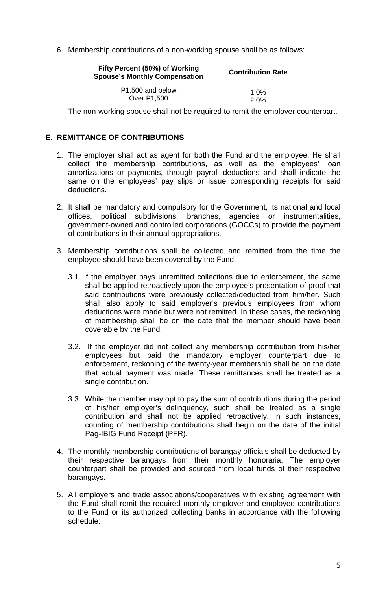6. Membership contributions of a non-working spouse shall be as follows:

| Fifty Percent (50%) of Working<br><b>Spouse's Monthly Compensation</b> | <b>Contribution Rate</b> |
|------------------------------------------------------------------------|--------------------------|
| P <sub>1</sub> ,500 and below                                          | 1.0%                     |
| <b>Over P1,500</b>                                                     | $2.0\%$                  |

The non-working spouse shall not be required to remit the employer counterpart.

## **E. REMITTANCE OF CONTRIBUTIONS**

- 1. The employer shall act as agent for both the Fund and the employee. He shall collect the membership contributions, as well as the employees' loan amortizations or payments, through payroll deductions and shall indicate the same on the employees' pay slips or issue corresponding receipts for said deductions.
- 2. It shall be mandatory and compulsory for the Government, its national and local offices, political subdivisions, branches, agencies or instrumentalities, government-owned and controlled corporations (GOCCs) to provide the payment of contributions in their annual appropriations.
- 3. Membership contributions shall be collected and remitted from the time the employee should have been covered by the Fund.
	- 3.1. If the employer pays unremitted collections due to enforcement, the same shall be applied retroactively upon the employee's presentation of proof that said contributions were previously collected/deducted from him/her. Such shall also apply to said employer's previous employees from whom deductions were made but were not remitted. In these cases, the reckoning of membership shall be on the date that the member should have been coverable by the Fund.
	- 3.2. If the employer did not collect any membership contribution from his/her employees but paid the mandatory employer counterpart due to enforcement, reckoning of the twenty-year membership shall be on the date that actual payment was made. These remittances shall be treated as a single contribution.
	- 3.3. While the member may opt to pay the sum of contributions during the period of his/her employer's delinquency, such shall be treated as a single contribution and shall not be applied retroactively. In such instances, counting of membership contributions shall begin on the date of the initial Pag-IBIG Fund Receipt (PFR).
- 4. The monthly membership contributions of barangay officials shall be deducted by their respective barangays from their monthly honoraria. The employer counterpart shall be provided and sourced from local funds of their respective barangays.
- 5. All employers and trade associations/cooperatives with existing agreement with the Fund shall remit the required monthly employer and employee contributions to the Fund or its authorized collecting banks in accordance with the following schedule: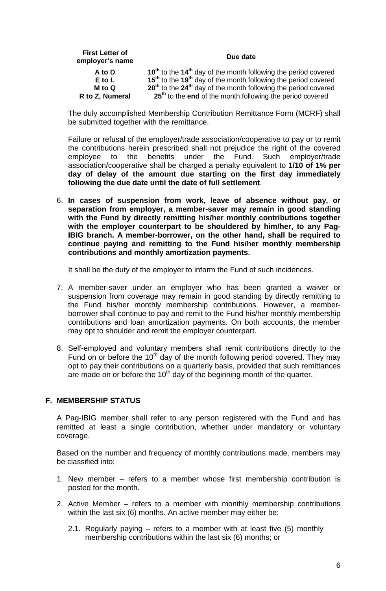| <b>First Letter of</b><br>employer's name | Due date                                                                               |
|-------------------------------------------|----------------------------------------------------------------------------------------|
| A to D                                    | 10 <sup>th</sup> to the 14 <sup>th</sup> day of the month following the period covered |
| $E$ to $L$                                | 15 <sup>th</sup> to the 19 <sup>th</sup> day of the month following the period covered |
| M to Q                                    | 20 <sup>th</sup> to the 24 <sup>th</sup> day of the month following the period covered |
| R to Z, Numeral                           | 25 <sup>th</sup> to the end of the month following the period covered                  |

The duly accomplished Membership Contribution Remittance Form (MCRF) shall be submitted together with the remittance.

 Failure or refusal of the employer/trade association/cooperative to pay or to remit the contributions herein prescribed shall not prejudice the right of the covered employee to the benefits under the Fund. Such employer/trade association/cooperative shall be charged a penalty equivalent to **1/10 of 1% per day of delay of the amount due starting on the first day immediately following the due date until the date of full settlement**.

6. **In cases of suspension from work, leave of absence without pay, or separation from employer, a member-saver may remain in good standing with the Fund by directly remitting his/her monthly contributions together with the employer counterpart to be shouldered by him/her, to any Pag-IBIG branch. A member-borrower, on the other hand, shall be required to continue paying and remitting to the Fund his/her monthly membership contributions and monthly amortization payments.** 

It shall be the duty of the employer to inform the Fund of such incidences.

- 7. A member-saver under an employer who has been granted a waiver or suspension from coverage may remain in good standing by directly remitting to the Fund his/her monthly membership contributions. However, a memberborrower shall continue to pay and remit to the Fund his/her monthly membership contributions and loan amortization payments. On both accounts, the member may opt to shoulder and remit the employer counterpart.
- 8. Self-employed and voluntary members shall remit contributions directly to the Fund on or before the 10<sup>th</sup> day of the month following period covered. They may opt to pay their contributions on a quarterly basis, provided that such remittances are made on or before the  $10<sup>th</sup>$  day of the beginning month of the quarter.

#### **F. MEMBERSHIP STATUS**

A Pag-IBIG member shall refer to any person registered with the Fund and has remitted at least a single contribution, whether under mandatory or voluntary coverage.

Based on the number and frequency of monthly contributions made, members may be classified into:

- 1. New member refers to a member whose first membership contribution is posted for the month.
- 2. Active Member refers to a member with monthly membership contributions within the last six (6) months. An active member may either be:
	- 2.1. Regularly paying refers to a member with at least five (5) monthly membership contributions within the last six (6) months; or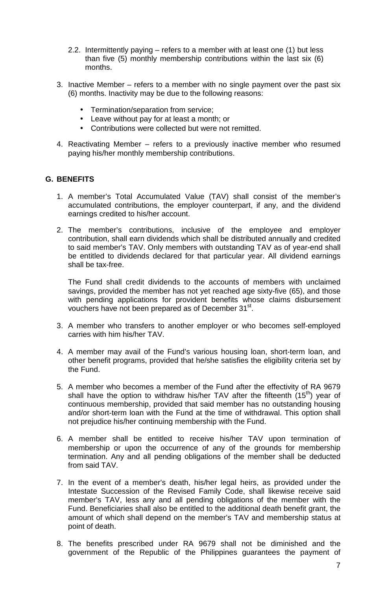- 2.2. Intermittently paying refers to a member with at least one (1) but less than five (5) monthly membership contributions within the last six (6) months.
- 3. Inactive Member refers to a member with no single payment over the past six (6) months. Inactivity may be due to the following reasons:
	- Termination/separation from service;
	- Leave without pay for at least a month; or
	- Contributions were collected but were not remitted.
- 4. Reactivating Member refers to a previously inactive member who resumed paying his/her monthly membership contributions.

## **G. BENEFITS**

- 1. A member's Total Accumulated Value (TAV) shall consist of the member's accumulated contributions, the employer counterpart, if any, and the dividend earnings credited to his/her account.
- 2. The member's contributions, inclusive of the employee and employer contribution, shall earn dividends which shall be distributed annually and credited to said member's TAV. Only members with outstanding TAV as of year-end shall be entitled to dividends declared for that particular year. All dividend earnings shall be tax-free.

The Fund shall credit dividends to the accounts of members with unclaimed savings, provided the member has not yet reached age sixty-five (65), and those with pending applications for provident benefits whose claims disbursement vouchers have not been prepared as of December 31<sup>st</sup>.

- 3. A member who transfers to another employer or who becomes self-employed carries with him his/her TAV.
- 4. A member may avail of the Fund's various housing loan, short-term loan, and other benefit programs, provided that he/she satisfies the eligibility criteria set by the Fund.
- 5. A member who becomes a member of the Fund after the effectivity of RA 9679 shall have the option to withdraw his/her TAV after the fifteenth  $(15<sup>th</sup>)$  year of continuous membership, provided that said member has no outstanding housing and/or short-term loan with the Fund at the time of withdrawal. This option shall not prejudice his/her continuing membership with the Fund.
- 6. A member shall be entitled to receive his/her TAV upon termination of membership or upon the occurrence of any of the grounds for membership termination. Any and all pending obligations of the member shall be deducted from said TAV.
- 7. In the event of a member's death, his/her legal heirs, as provided under the Intestate Succession of the Revised Family Code, shall likewise receive said member's TAV, less any and all pending obligations of the member with the Fund. Beneficiaries shall also be entitled to the additional death benefit grant, the amount of which shall depend on the member's TAV and membership status at point of death.
- 8. The benefits prescribed under RA 9679 shall not be diminished and the government of the Republic of the Philippines guarantees the payment of